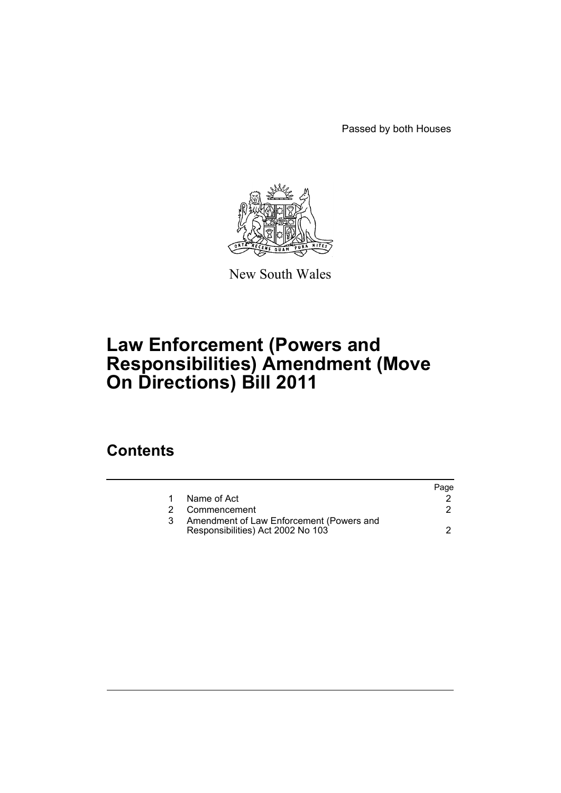Passed by both Houses



New South Wales

# **Law Enforcement (Powers and Responsibilities) Amendment (Move On Directions) Bill 2011**

## **Contents**

|    |                                                                               | Page |
|----|-------------------------------------------------------------------------------|------|
| 1. | Name of Act                                                                   |      |
| 2  | Commencement                                                                  |      |
|    | Amendment of Law Enforcement (Powers and<br>Responsibilities) Act 2002 No 103 |      |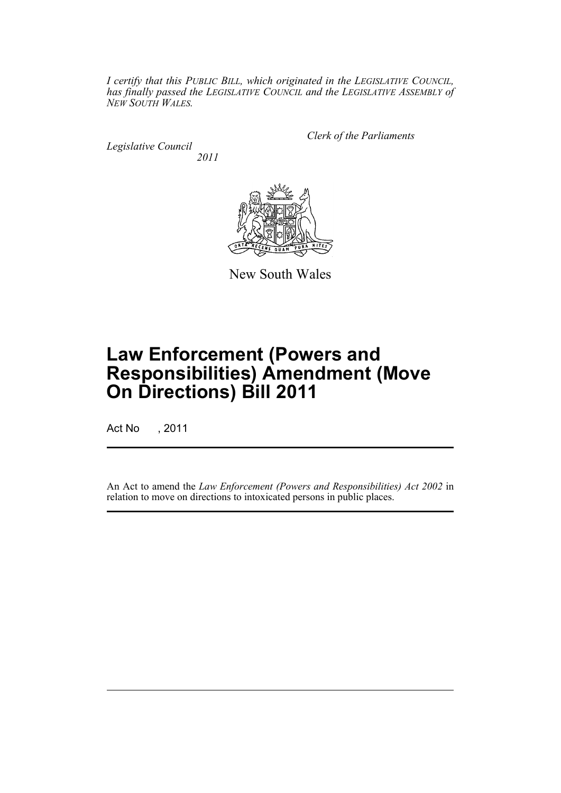*I certify that this PUBLIC BILL, which originated in the LEGISLATIVE COUNCIL, has finally passed the LEGISLATIVE COUNCIL and the LEGISLATIVE ASSEMBLY of NEW SOUTH WALES.*

*Legislative Council 2011* *Clerk of the Parliaments*



New South Wales

# **Law Enforcement (Powers and Responsibilities) Amendment (Move On Directions) Bill 2011**

Act No , 2011

An Act to amend the *Law Enforcement (Powers and Responsibilities) Act 2002* in relation to move on directions to intoxicated persons in public places.